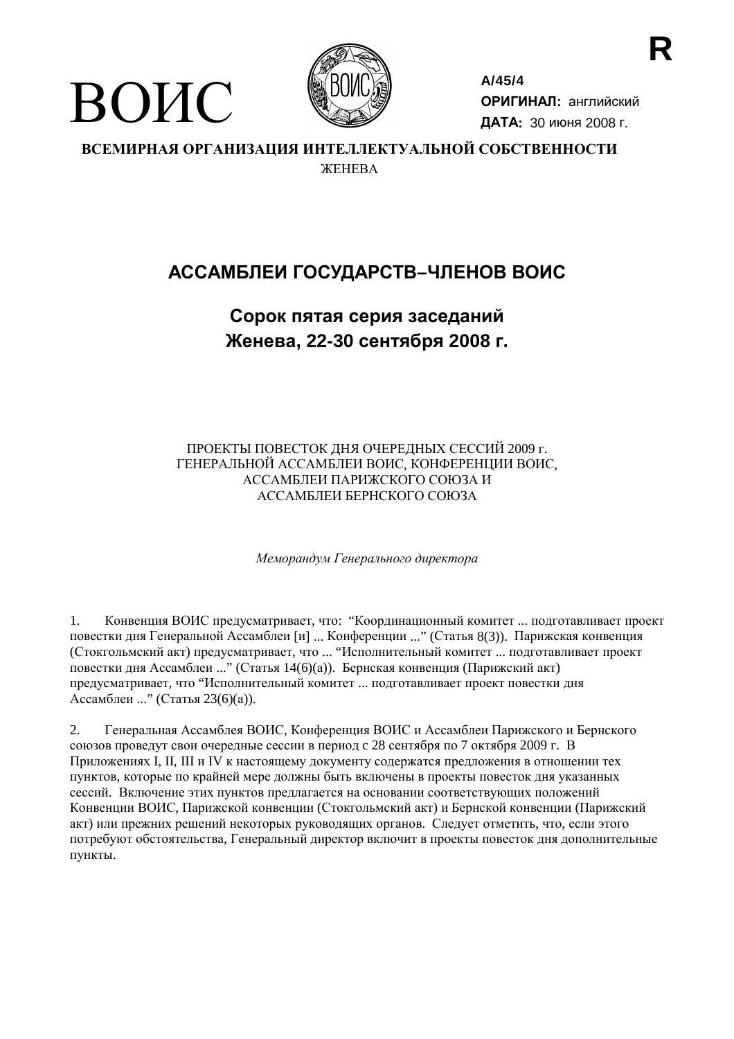

ВОИС

 $A/45/4$ ОРИГИНАЛ: английский ДАТА: 30 июня 2008 г.

ВСЕМИРНАЯ ОРГАНИЗАЦИЯ ИНТЕЛЛЕКТУАЛЬНОЙ СОБСТВЕННОСТИ *ЖЕНЕВА* 

# АССАМБЛЕИ ГОСУДАРСТВ-ЧЛЕНОВ ВОИС

# Сорок пятая серия заседаний Женева, 22-30 сентября 2008 г.

ПРОЕКТЫ ПОВЕСТОК ДНЯ ОЧЕРЕДНЫХ СЕССИЙ 2009 г. ГЕНЕРАЛЬНОЙ АССАМБЛЕИ ВОИС, КОНФЕРЕНЦИИ ВОИС, АССАМБЛЕИ ПАРИЖСКОГО СОЮЗА И АССАМБЛЕИ БЕРНСКОГО СОЮЗА

Меморандум Генерального директора

Конвенция ВОИС предусматривает, что: "Координационный комитет ... подготавливает проект  $1.$ повестки дня Генеральной Ассамблеи [и] ... Конференции ..." (Статья 8(3)). Парижская конвенция (Стокгольмский акт) предусматривает, что ... "Исполнительный комитет ... подготавливает проект повестки дня Ассамблеи ..." (Статья 14(6)(а)). Бернская конвенция (Парижский акт) предусматривает, что "Исполнительный комитет ... подготавливает проект повестки дня Ассамблеи ..." (Статья 23(6)(а)).

Генеральная Ассамблея ВОИС, Конференция ВОИС и Ассамблеи Парижского и Бернского  $\overline{2}$ . союзов проведут свои очередные сессии в период с 28 сентября по 7 октября 2009 г. В Приложениях I, II, III и IV к настоящему документу содержатся предложения в отношении тех пунктов, которые по крайней мере должны быть включены в проекты повесток дня указанных сессий. Включение этих пунктов предлагается на основании соответствующих положений Конвенции ВОИС, Парижской конвенции (Стокгольмский акт) и Бернской конвенции (Парижский акт) или прежних решений некоторых руководящих органов. Следует отметить, что, если этого потребуют обстоятельства, Генеральный директор включит в проекты повесток дня дополнительные пункты.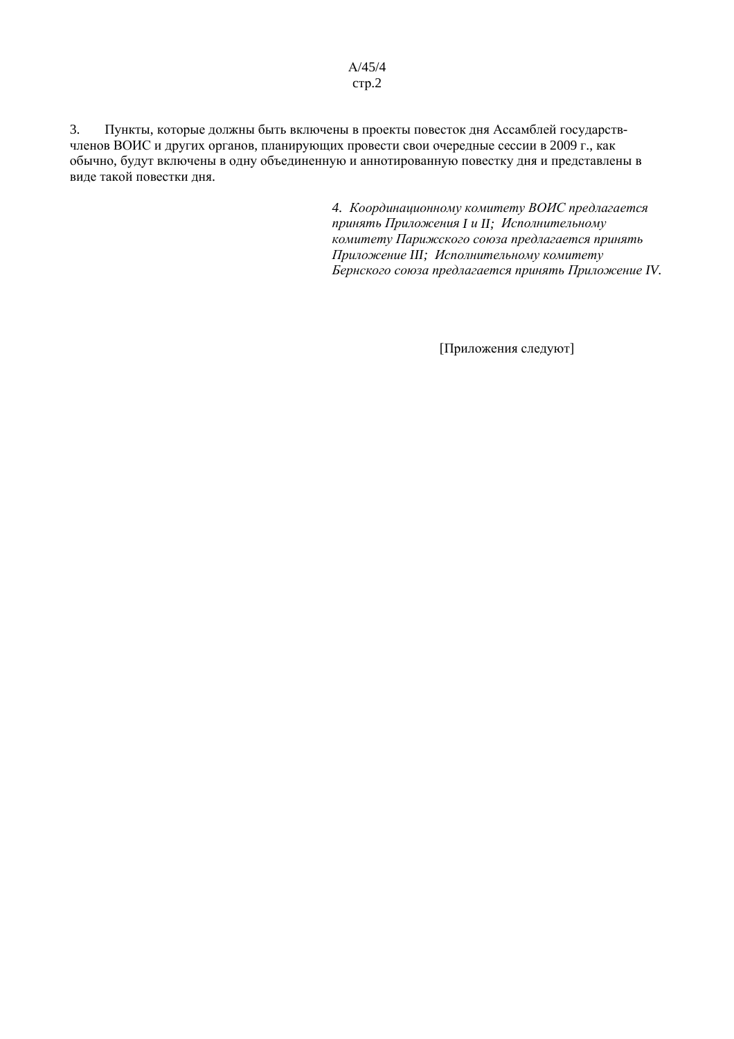$A/45/4$  $crp.2$ 

Пункты, которые должны быть включены в проекты повесток дня Ассамблей государств- $3.$ членов ВОИС и других органов, планирующих провести свои очередные сессии в 2009 г., как обычно, будут включены в одну объединенную и аннотированную повестку дня и представлены в виде такой повестки дня.

> 4. Координационному комитету ВОИС предлагается принять Приложения I и II; Исполнительному комитету Парижского союза предлагается принять Приложение III; Исполнительному комитету Бернского союза предлагается принять Приложение IV.

> > [Приложения следуют]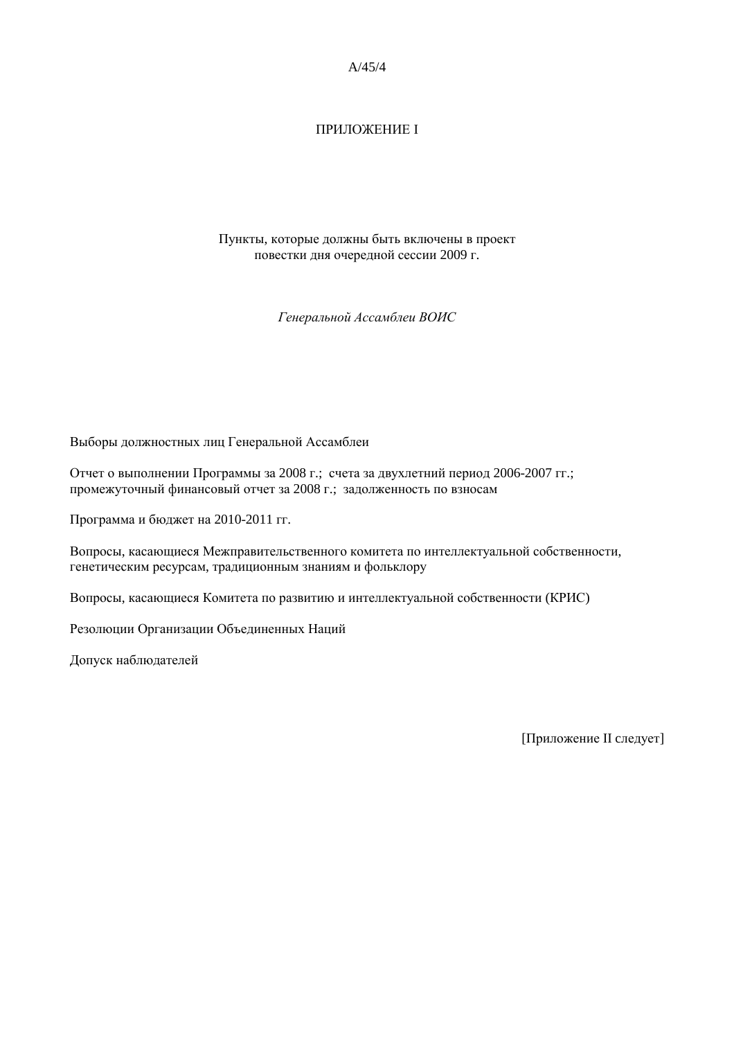### **ПРИЛОЖЕНИЕ I**

Пункты, которые должны быть включены в проект повестки дня очередной сессии 2009 г.

Генеральной Ассамблеи ВОИС

Выборы должностных лиц Генеральной Ассамблеи

Отчет о выполнении Программы за 2008 г.; счета за двухлетний период 2006-2007 гг.; промежуточный финансовый отчет за 2008 г.; задолженность по взносам

Программа и бюджет на 2010-2011 гг.

Вопросы, касающиеся Межправительственного комитета по интеллектуальной собственности, генетическим ресурсам, традиционным знаниям и фольклору

Вопросы, касающиеся Комитета по развитию и интеллектуальной собственности (КРИС)

Резолюции Организации Объединенных Наций

Допуск наблюдателей

[Приложение II следует]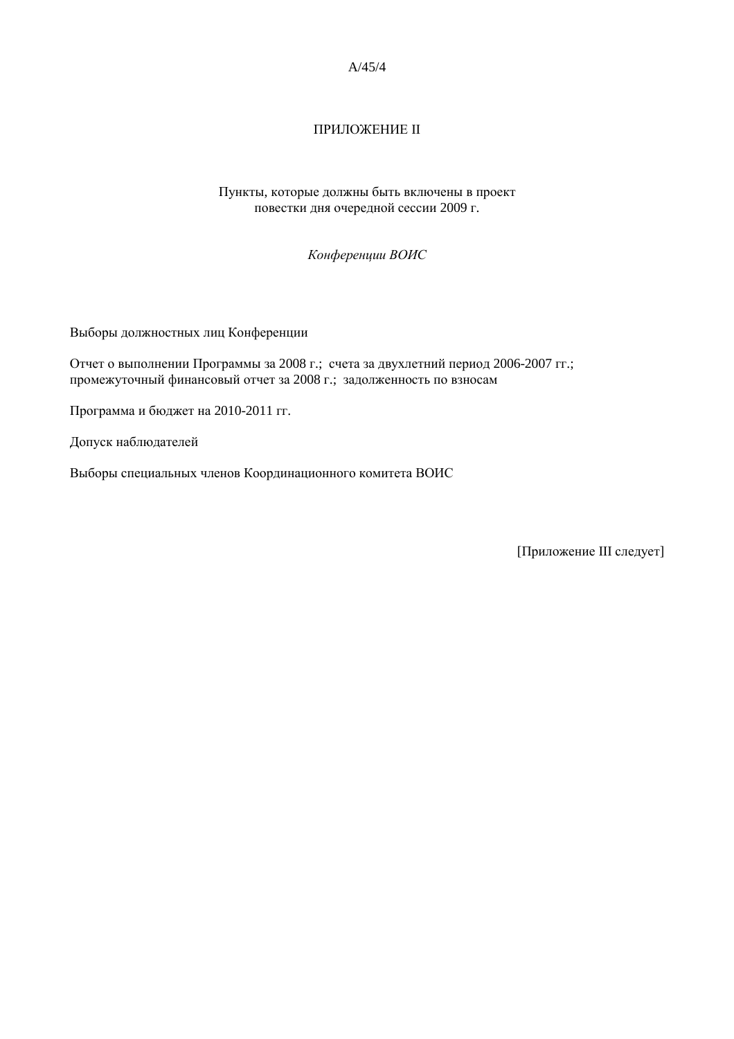## ПРИЛОЖЕНИЕ II

Пункты, которые должны быть включены в проект повестки дня очередной сессии 2009 г.

Конференции ВОИС

Выборы должностных лиц Конференции

Отчет о выполнении Программы за 2008 г.; счета за двухлетний период 2006-2007 гг.; промежуточный финансовый отчет за 2008 г.; задолженность по взносам

Программа и бюджет на 2010-2011 гг.

Допуск наблюдателей

Выборы специальных членов Координационного комитета ВОИС

[Приложение III следует]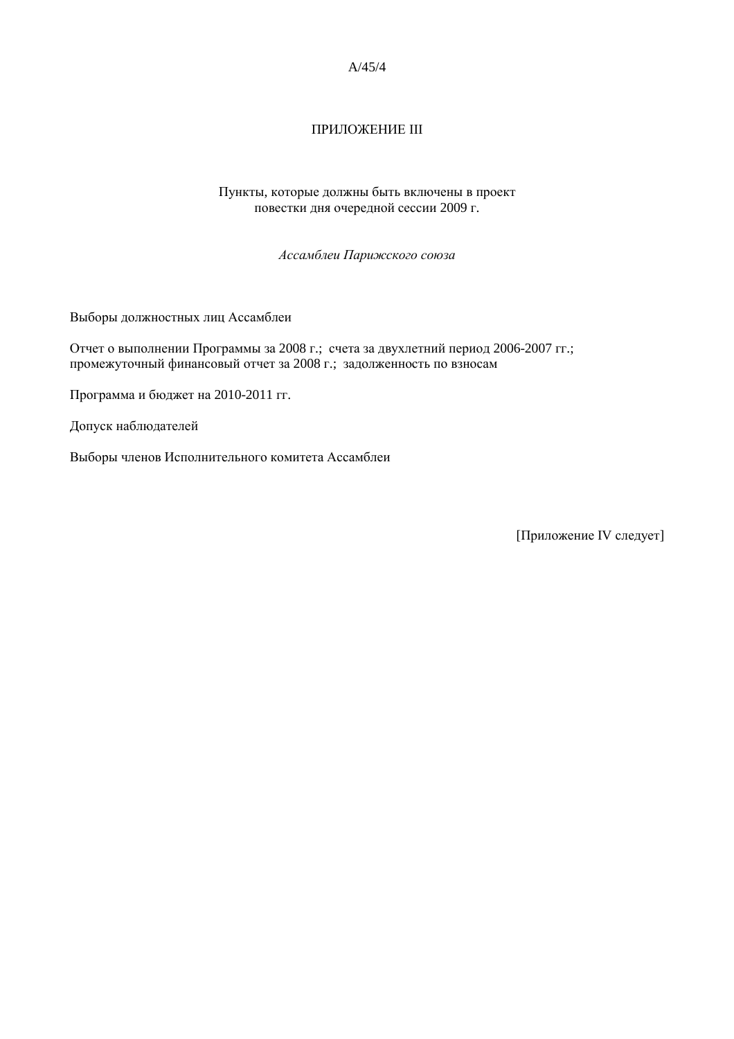## ПРИЛОЖЕНИЕ III

Пункты, которые должны быть включены в проект повестки дня очередной сессии 2009 г.

Ассамблеи Парижского союза

Выборы должностных лиц Ассамблеи

Отчет о выполнении Программы за 2008 г.; счета за двухлетний период 2006-2007 гг.; промежуточный финансовый отчет за 2008 г.; задолженность по взносам

Программа и бюджет на 2010-2011 гг.

Допуск наблюдателей

Выборы членов Исполнительного комитета Ассамблеи

[Приложение IV следует]